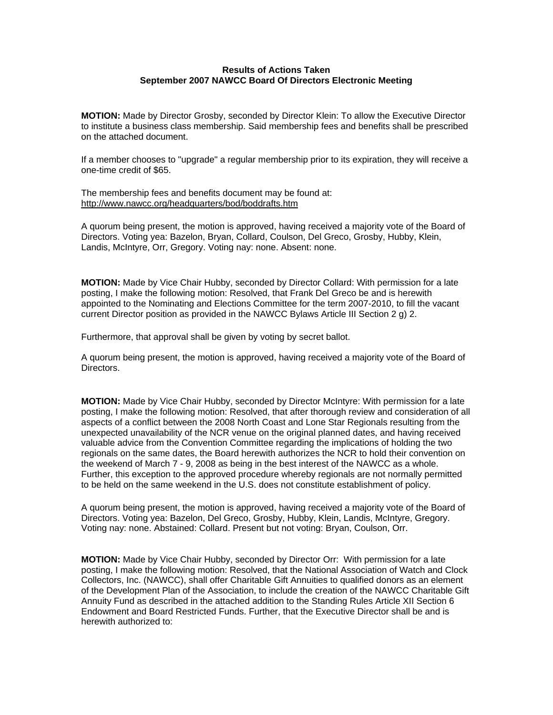## **Results of Actions Taken September 2007 NAWCC Board Of Directors Electronic Meeting**

**MOTION:** Made by Director Grosby, seconded by Director Klein: To allow the Executive Director to institute a business class membership. Said membership fees and benefits shall be prescribed on the attached document.

If a member chooses to "upgrade" a regular membership prior to its expiration, they will receive a one-time credit of \$65.

The membership fees and benefits document may be found at: <http://www.nawcc.org/headquarters/bod/boddrafts.htm>

A quorum being present, the motion is approved, having received a majority vote of the Board of Directors. Voting yea: Bazelon, Bryan, Collard, Coulson, Del Greco, Grosby, Hubby, Klein, Landis, McIntyre, Orr, Gregory. Voting nay: none. Absent: none.

**MOTION:** Made by Vice Chair Hubby, seconded by Director Collard: With permission for a late posting, I make the following motion: Resolved, that Frank Del Greco be and is herewith appointed to the Nominating and Elections Committee for the term 2007-2010, to fill the vacant current Director position as provided in the NAWCC Bylaws Article III Section 2 g) 2.

Furthermore, that approval shall be given by voting by secret ballot.

A quorum being present, the motion is approved, having received a majority vote of the Board of Directors.

**MOTION:** Made by Vice Chair Hubby, seconded by Director McIntyre: With permission for a late posting, I make the following motion: Resolved, that after thorough review and consideration of all aspects of a conflict between the 2008 North Coast and Lone Star Regionals resulting from the unexpected unavailability of the NCR venue on the original planned dates, and having received valuable advice from the Convention Committee regarding the implications of holding the two regionals on the same dates, the Board herewith authorizes the NCR to hold their convention on the weekend of March 7 - 9, 2008 as being in the best interest of the NAWCC as a whole. Further, this exception to the approved procedure whereby regionals are not normally permitted to be held on the same weekend in the U.S. does not constitute establishment of policy.

A quorum being present, the motion is approved, having received a majority vote of the Board of Directors. Voting yea: Bazelon, Del Greco, Grosby, Hubby, Klein, Landis, McIntyre, Gregory. Voting nay: none. Abstained: Collard. Present but not voting: Bryan, Coulson, Orr.

**MOTION:** Made by Vice Chair Hubby, seconded by Director Orr: With permission for a late posting, I make the following motion: Resolved, that the National Association of Watch and Clock Collectors, Inc. (NAWCC), shall offer Charitable Gift Annuities to qualified donors as an element of the Development Plan of the Association, to include the creation of the NAWCC Charitable Gift Annuity Fund as described in the attached addition to the Standing Rules Article XII Section 6 Endowment and Board Restricted Funds. Further, that the Executive Director shall be and is herewith authorized to: